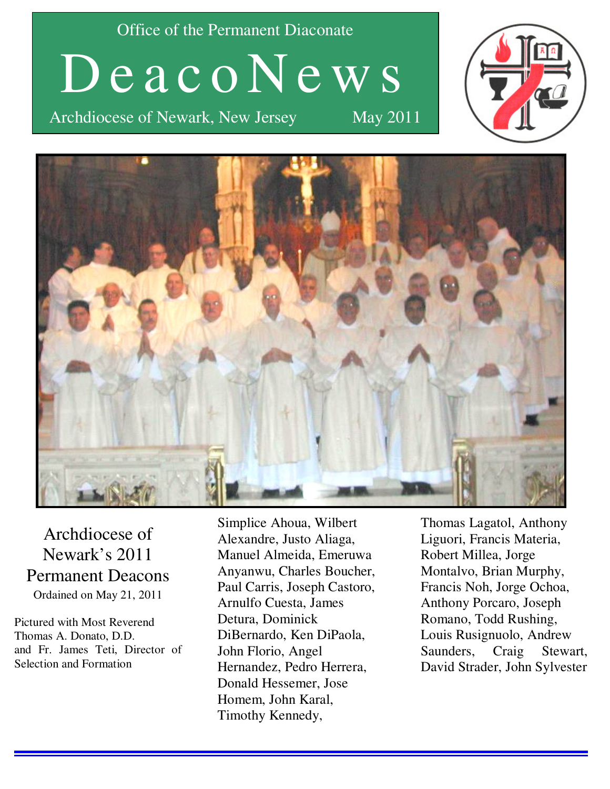Office of the Permanent Diaconate

D e a c o N e w s

Archdiocese of Newark, New Jersey May 2011





Archdiocese of Newark's 2011 Permanent Deacons Ordained on May 21, 2011

Pictured with Most Reverend Thomas A. Donato, D.D. and Fr. James Teti, Director of Selection and Formation

Simplice Ahoua, Wilbert Alexandre, Justo Aliaga, Manuel Almeida, Emeruwa Anyanwu, Charles Boucher, Paul Carris, Joseph Castoro, Arnulfo Cuesta, James Detura, Dominick DiBernardo, Ken DiPaola, John Florio, Angel Hernandez, Pedro Herrera, Donald Hessemer, Jose Homem, John Karal, Timothy Kennedy,

Thomas Lagatol, Anthony Liguori, Francis Materia, Robert Millea, Jorge Montalvo, Brian Murphy, Francis Noh, Jorge Ochoa, Anthony Porcaro, Joseph Romano, Todd Rushing, Louis Rusignuolo, Andrew Saunders, Craig Stewart, David Strader, John Sylvester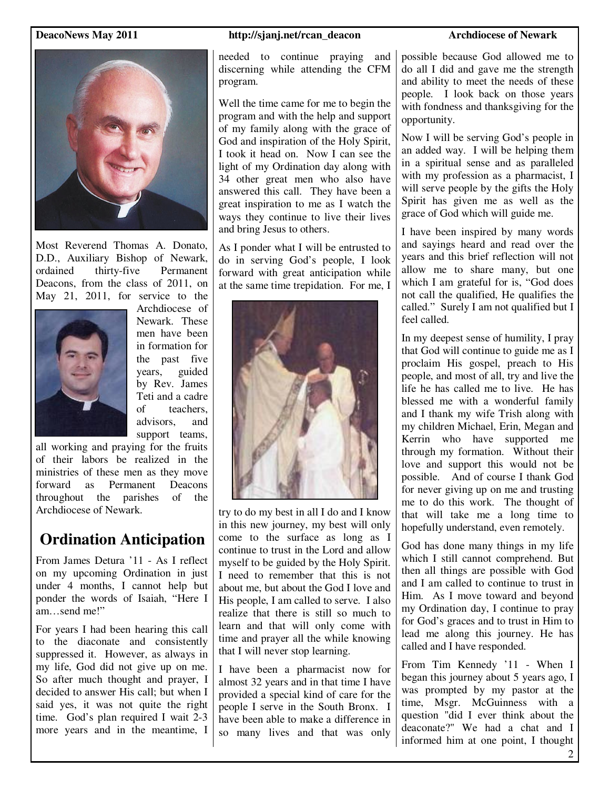

Most Reverend Thomas A. Donato, D.D., Auxiliary Bishop of Newark, ordained thirty-five Permanent Deacons, from the class of 2011, on May 21, 2011, for service to the



Archdiocese of Newark. These men have been in formation for the past five years, guided by Rev. James Teti and a cadre of teachers, advisors, and support teams.

all working and praying for the fruits of their labors be realized in the ministries of these men as they move forward as Permanent Deacons throughout the parishes of the Archdiocese of Newark.

# **Ordination Anticipation**

From James Detura '11 - As I reflect on my upcoming Ordination in just under 4 months, I cannot help but ponder the words of Isaiah, "Here I am send me!"

For years I had been hearing this call to the diaconate and consistently suppressed it. However, as always in my life, God did not give up on me. So after much thought and prayer, I decided to answer His call; but when I said yes, it was not quite the right time. God's plan required I wait 2-3 more years and in the meantime, I

#### **DeacoNews May 2011 http://sjanj.net/rcan\_deacon** Archdiocese of Newark

needed to continue praying and discerning while attending the CFM program.

Well the time came for me to begin the program and with the help and support of my family along with the grace of God and inspiration of the Holy Spirit, I took it head on. Now I can see the light of my Ordination day along with 34 other great men who also have answered this call. They have been a great inspiration to me as I watch the ways they continue to live their lives and bring Jesus to others.

As I ponder what I will be entrusted to do in serving God's people, I look forward with great anticipation while at the same time trepidation. For me, I



try to do my best in all I do and I know in this new journey, my best will only come to the surface as long as I continue to trust in the Lord and allow myself to be guided by the Holy Spirit. I need to remember that this is not about me, but about the God I love and His people, I am called to serve. I also realize that there is still so much to learn and that will only come with time and prayer all the while knowing that I will never stop learning.

I have been a pharmacist now for almost 32 years and in that time I have provided a special kind of care for the people I serve in the South Bronx. I have been able to make a difference in so many lives and that was only

possible because God allowed me to do all I did and gave me the strength and ability to meet the needs of these people. I look back on those years with fondness and thanksgiving for the opportunity.

Now I will be serving God's people in an added way. I will be helping them in a spiritual sense and as paralleled with my profession as a pharmacist, I will serve people by the gifts the Holy Spirit has given me as well as the grace of God which will guide me.

I have been inspired by many words and sayings heard and read over the years and this brief reflection will not allow me to share many, but one which I am grateful for is, "God does not call the qualified, He qualifies the called." Surely I am not qualified but I feel called.

In my deepest sense of humility, I pray that God will continue to guide me as I proclaim His gospel, preach to His people, and most of all, try and live the life he has called me to live. He has blessed me with a wonderful family and I thank my wife Trish along with my children Michael, Erin, Megan and Kerrin who have supported me through my formation. Without their love and support this would not be possible. And of course I thank God for never giving up on me and trusting me to do this work. The thought of that will take me a long time to hopefully understand, even remotely.

God has done many things in my life which I still cannot comprehend. But then all things are possible with God and I am called to continue to trust in Him. As I move toward and beyond my Ordination day, I continue to pray for God's graces and to trust in Him to lead me along this journey. He has called and I have responded.

From Tim Kennedy '11 - When I began this journey about 5 years ago, I was prompted by my pastor at the time, Msgr. McGuinness with a question "did I ever think about the deaconate?" We had a chat and I informed him at one point, I thought

2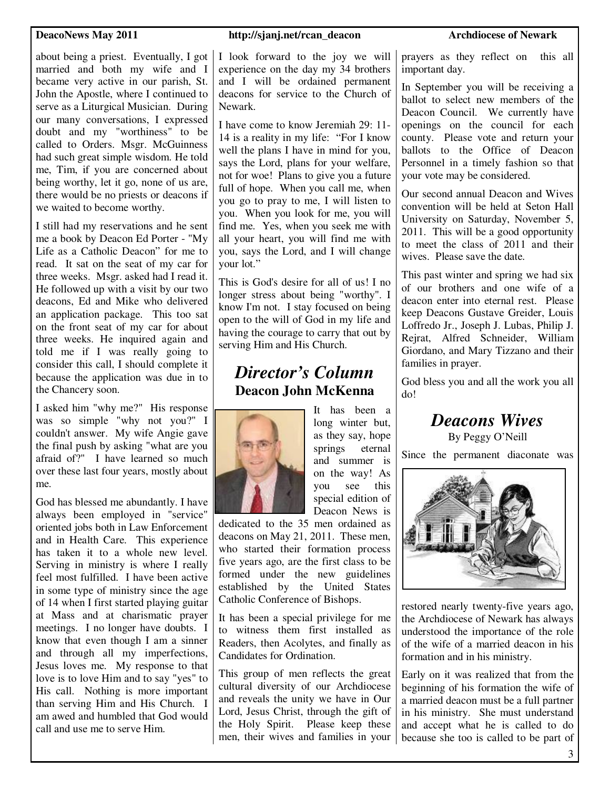about being a priest. Eventually, I got married and both my wife and I became very active in our parish, St. John the Apostle, where I continued to serve as a Liturgical Musician. During our many conversations, I expressed doubt and my "worthiness" to be called to Orders. Msgr. McGuinness had such great simple wisdom. He told me, Tim, if you are concerned about being worthy, let it go, none of us are, there would be no priests or deacons if we waited to become worthy.

I still had my reservations and he sent me a book by Deacon Ed Porter - "My Life as a Catholic Deacon" for me to read. It sat on the seat of my car for three weeks. Msgr. asked had I read it. He followed up with a visit by our two deacons, Ed and Mike who delivered an application package. This too sat on the front seat of my car for about three weeks. He inquired again and told me if I was really going to consider this call, I should complete it because the application was due in to the Chancery soon.

I asked him "why me?" His response was so simple "why not you?" I couldn't answer. My wife Angie gave the final push by asking "what are you afraid of?" I have learned so much over these last four years, mostly about me.

God has blessed me abundantly. I have always been employed in "service" oriented jobs both in Law Enforcement and in Health Care. This experience has taken it to a whole new level. Serving in ministry is where I really feel most fulfilled. I have been active in some type of ministry since the age of 14 when I first started playing guitar at Mass and at charismatic prayer meetings. I no longer have doubts. I know that even though I am a sinner and through all my imperfections, Jesus loves me. My response to that love is to love Him and to say "yes" to His call. Nothing is more important than serving Him and His Church. I am awed and humbled that God would call and use me to serve Him.

#### **DeacoNews May 2011 http://sjanj.net/rcan\_deacon** Archdiocese of Newark

I look forward to the joy we will experience on the day my 34 brothers and I will be ordained permanent deacons for service to the Church of Newark.

I have come to know Jeremiah 29: 11- 14 is a reality in my life: "For I know well the plans I have in mind for you, says the Lord, plans for your welfare, not for woe! Plans to give you a future full of hope. When you call me, when you go to pray to me, I will listen to you. When you look for me, you will find me. Yes, when you seek me with all your heart, you will find me with you, says the Lord, and I will change your lot."

This is God's desire for all of us! I no longer stress about being "worthy". I know I'm not. I stay focused on being open to the will of God in my life and having the courage to carry that out by serving Him and His Church.

# *Director's Column*  **Deacon John McKenna**



It has been a long winter but, as they say, hope springs eternal and summer is on the way! As you see this special edition of Deacon News is

dedicated to the 35 men ordained as deacons on May 21, 2011. These men, who started their formation process five years ago, are the first class to be formed under the new guidelines established by the United States Catholic Conference of Bishops.

It has been a special privilege for me to witness them first installed as Readers, then Acolytes, and finally as Candidates for Ordination.

This group of men reflects the great cultural diversity of our Archdiocese and reveals the unity we have in Our Lord, Jesus Christ, through the gift of the Holy Spirit. Please keep these men, their wives and families in your prayers as they reflect on this all important day.

In September you will be receiving a ballot to select new members of the Deacon Council. We currently have openings on the council for each county. Please vote and return your ballots to the Office of Deacon Personnel in a timely fashion so that your vote may be considered.

Our second annual Deacon and Wives convention will be held at Seton Hall University on Saturday, November 5, 2011. This will be a good opportunity to meet the class of 2011 and their wives. Please save the date.

This past winter and spring we had six of our brothers and one wife of a deacon enter into eternal rest. Please keep Deacons Gustave Greider, Louis Loffredo Jr., Joseph J. Lubas, Philip J. Rejrat, Alfred Schneider, William Giordano, and Mary Tizzano and their families in prayer.

God bless you and all the work you all do!

*Deacons Wives* 

By Peggy O'Neill

Since the permanent diaconate was



restored nearly twenty-five years ago, the Archdiocese of Newark has always understood the importance of the role of the wife of a married deacon in his formation and in his ministry.

Early on it was realized that from the beginning of his formation the wife of a married deacon must be a full partner in his ministry. She must understand and accept what he is called to do because she too is called to be part of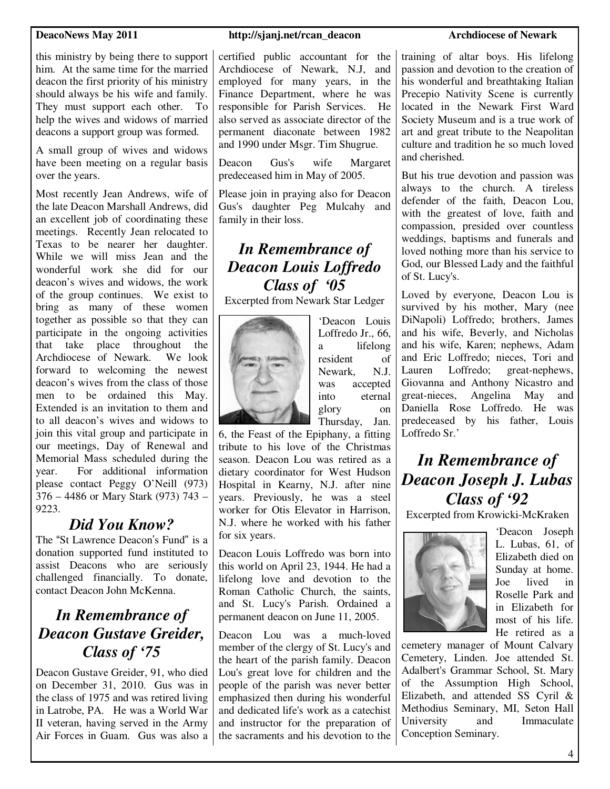this ministry by being there to support him. At the same time for the married deacon the first priority of his ministry should always be his wife and family. They must support each other. To help the wives and widows of married deacons a support group was formed.

A small group of wives and widows have been meeting on a regular basis over the years.

Most recently Jean Andrews, wife of the late Deacon Marshall Andrews, did an excellent job of coordinating these meetings. Recently Jean relocated to Texas to be nearer her daughter. While we will miss Jean and the wonderful work she did for our deacon's wives and widows, the work of the group continues. We exist to bring as many of these women together as possible so that they can participate in the ongoing activities that take place throughout the Archdiocese of Newark. We look forward to welcoming the newest deacon's wives from the class of those men to be ordained this May. Extended is an invitation to them and to all deacon's wives and widows to join this vital group and participate in our meetings, Day of Renewal and Memorial Mass scheduled during the year. For additional information please contact Peggy O'Neill (973) 376 – 4486 or Mary Stark (973) 743 – 9223.

# *Did You Know?*

The "St Lawrence Deacon's Fund" is a donation supported fund instituted to assist Deacons who are seriously challenged financially. To donate, contact Deacon John McKenna.

# *In Remembrance of Deacon Gustave Greider, Class of '75*

Deacon Gustave Greider, 91, who died on December 31, 2010. Gus was in the class of 1975 and was retired living in Latrobe, PA. He was a World War II veteran, having served in the Army Air Forces in Guam. Gus was also a

#### **DeacoNews May 2011 http://sjanj.net/rcan\_deacon** Archdiocese of Newark

certified public accountant for the Archdiocese of Newark, N.J, and employed for many years, in the Finance Department, where he was responsible for Parish Services. He also served as associate director of the permanent diaconate between 1982 and 1990 under Msgr. Tim Shugrue.

Deacon Gus's wife Margaret predeceased him in May of 2005.

Please join in praying also for Deacon Gus's daughter Peg Mulcahy and family in their loss.

# *In Remembrance of Deacon Louis Loffredo Class of '05*

Excerpted from Newark Star Ledger



'Deacon Louis Loffredo Jr., 66, a lifelong resident of Newark, N.J. was accepted into eternal glory on Thursday, Jan.

6, the Feast of the Epiphany, a fitting tribute to his love of the Christmas season. Deacon Lou was retired as a dietary coordinator for West Hudson Hospital in Kearny, N.J. after nine years. Previously, he was a steel worker for Otis Elevator in Harrison, N.J. where he worked with his father for six years.

Deacon Louis Loffredo was born into this world on April 23, 1944. He had a lifelong love and devotion to the Roman Catholic Church, the saints, and St. Lucy's Parish. Ordained a permanent deacon on June 11, 2005.

Deacon Lou was a much-loved member of the clergy of St. Lucy's and the heart of the parish family. Deacon Lou's great love for children and the people of the parish was never better emphasized then during his wonderful and dedicated life's work as a catechist and instructor for the preparation of the sacraments and his devotion to the

training of altar boys. His lifelong passion and devotion to the creation of his wonderful and breathtaking Italian Precepio Nativity Scene is currently located in the Newark First Ward Society Museum and is a true work of art and great tribute to the Neapolitan culture and tradition he so much loved and cherished.

But his true devotion and passion was always to the church. A tireless defender of the faith, Deacon Lou, with the greatest of love, faith and compassion, presided over countless weddings, baptisms and funerals and loved nothing more than his service to God, our Blessed Lady and the faithful of St. Lucy's.

Loved by everyone, Deacon Lou is survived by his mother, Mary (nee DiNapoli) Loffredo; brothers, James and his wife, Beverly, and Nicholas and his wife, Karen; nephews, Adam and Eric Loffredo; nieces, Tori and Lauren Loffredo; great-nephews, Giovanna and Anthony Nicastro and great-nieces, Angelina May and Daniella Rose Loffredo. He was predeceased by his father, Louis Loffredo Sr.'

# *In Remembrance of Deacon Joseph J. Lubas Class of '92*

Excerpted from Krowicki-McKraken



'Deacon Joseph L. Lubas, 61, of Elizabeth died on Sunday at home. Joe lived in Roselle Park and in Elizabeth for most of his life. He retired as a

cemetery manager of Mount Calvary Cemetery, Linden. Joe attended St. Adalbert's Grammar School, St. Mary of the Assumption High School, Elizabeth, and attended SS Cyril & Methodius Seminary, MI, Seton Hall University and Immaculate Conception Seminary.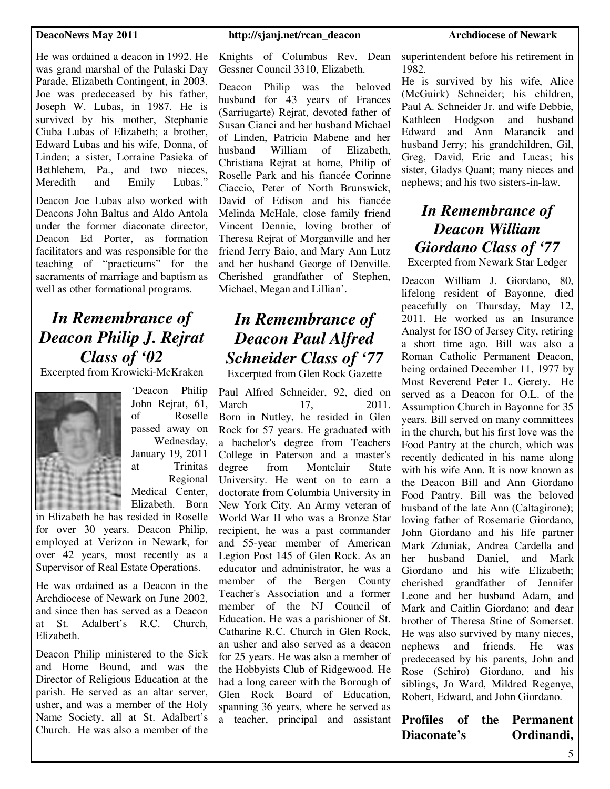He was ordained a deacon in 1992. He was grand marshal of the Pulaski Day Parade, Elizabeth Contingent, in 2003. Joe was predeceased by his father, Joseph W. Lubas, in 1987. He is survived by his mother, Stephanie Ciuba Lubas of Elizabeth; a brother, Edward Lubas and his wife, Donna, of Linden; a sister, Lorraine Pasieka of Bethlehem, Pa., and two nieces, Meredith and Emily Lubas."

Deacon Joe Lubas also worked with Deacons John Baltus and Aldo Antola under the former diaconate director, Deacon Ed Porter, as formation facilitators and was responsible for the teaching of "practicums" for the sacraments of marriage and baptism as well as other formational programs.

# *In Remembrance of Deacon Philip J. Rejrat Class of '02*

Excerpted from Krowicki-McKraken



'Deacon Philip John Rejrat, 61, of Roselle passed away on Wednesday, January 19, 2011 at Trinitas Regional Medical Center, Elizabeth. Born

in Elizabeth he has resided in Roselle for over 30 years. Deacon Philip, employed at Verizon in Newark, for over 42 years, most recently as a Supervisor of Real Estate Operations.

He was ordained as a Deacon in the Archdiocese of Newark on June 2002, and since then has served as a Deacon at St. Adalbert's R.C. Church, Elizabeth.

Deacon Philip ministered to the Sick and Home Bound, and was the Director of Religious Education at the parish. He served as an altar server, usher, and was a member of the Holy Name Society, all at St. Adalbert's Church. He was also a member of the

#### **DeacoNews May 2011** http://sjanj.net/rcan\_deacon Archdiocese of Newark

Knights of Columbus Rev. Dean Gessner Council 3310, Elizabeth.

Deacon Philip was the beloved husband for 43 years of Frances (Sarriugarte) Rejrat, devoted father of Susan Cianci and her husband Michael of Linden, Patricia Mabene and her husband William of Elizabeth, Christiana Rejrat at home, Philip of Roselle Park and his fiancée Corinne Ciaccio, Peter of North Brunswick, David of Edison and his fiancée Melinda McHale, close family friend Vincent Dennie, loving brother of Theresa Rejrat of Morganville and her friend Jerry Baio, and Mary Ann Lutz and her husband George of Denville. Cherished grandfather of Stephen, Michael, Megan and Lillian'.

# *In Remembrance of Deacon Paul Alfred Schneider Class of '77*

Excerpted from Glen Rock Gazette

Paul Alfred Schneider, 92, died on March 17, 2011. Born in Nutley, he resided in Glen Rock for 57 years. He graduated with a bachelor's degree from Teachers College in Paterson and a master's degree from Montclair State University. He went on to earn a doctorate from Columbia University in New York City. An Army veteran of World War II who was a Bronze Star recipient, he was a past commander and 55-year member of American Legion Post 145 of Glen Rock. As an educator and administrator, he was a member of the Bergen County Teacher's Association and a former member of the NJ Council of Education. He was a parishioner of St. Catharine R.C. Church in Glen Rock, an usher and also served as a deacon for 25 years. He was also a member of the Hobbyists Club of Ridgewood. He had a long career with the Borough of Glen Rock Board of Education, spanning 36 years, where he served as a teacher, principal and assistant

superintendent before his retirement in 1982.

He is survived by his wife, Alice (McGuirk) Schneider; his children, Paul A. Schneider Jr. and wife Debbie, Kathleen Hodgson and husband Edward and Ann Marancik and husband Jerry; his grandchildren, Gil, Greg, David, Eric and Lucas; his sister, Gladys Quant; many nieces and nephews; and his two sisters-in-law.

# *In Remembrance of Deacon William Giordano Class of '77*  Excerpted from Newark Star Ledger

Deacon William J. Giordano, 80, lifelong resident of Bayonne, died peacefully on Thursday, May 12, 2011. He worked as an Insurance Analyst for ISO of Jersey City, retiring a short time ago. Bill was also a Roman Catholic Permanent Deacon, being ordained December 11, 1977 by Most Reverend Peter L. Gerety. He served as a Deacon for O.L. of the Assumption Church in Bayonne for 35 years. Bill served on many committees in the church, but his first love was the Food Pantry at the church, which was recently dedicated in his name along with his wife Ann. It is now known as the Deacon Bill and Ann Giordano Food Pantry. Bill was the beloved husband of the late Ann (Caltagirone); loving father of Rosemarie Giordano, John Giordano and his life partner Mark Zduniak, Andrea Cardella and her husband Daniel, and Mark Giordano and his wife Elizabeth; cherished grandfather of Jennifer Leone and her husband Adam, and Mark and Caitlin Giordano; and dear brother of Theresa Stine of Somerset. He was also survived by many nieces, nephews and friends. He was predeceased by his parents, John and Rose (Schiro) Giordano, and his siblings, Jo Ward, Mildred Regenye, Robert, Edward, and John Giordano.

**Profiles of the Permanent Diaconate's Ordinandi,**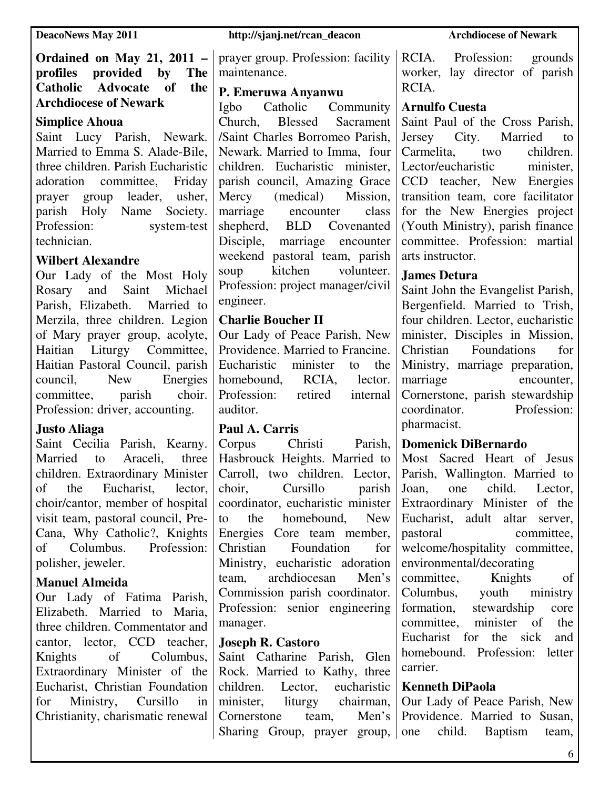#### **DeacoNews May 2011** http://sjanj.net/rcan\_deacon Archdiocese of Newark

### **Ordained on May 21, 2011 – profiles provided by The Catholic Advocate of the Archdiocese of Newark**

#### **Simplice Ahoua**

Saint Lucy Parish, Newark. Married to Emma S. Alade-Bile, three children. Parish Eucharistic adoration committee, Friday prayer group leader, usher, parish Holy Name Society. Profession: system-test technician.

#### **Wilbert Alexandre**

Our Lady of the Most Holy Rosary and Saint Michael Parish, Elizabeth. Married to Merzila, three children. Legion of Mary prayer group, acolyte, Haitian Liturgy Committee, Haitian Pastoral Council, parish council, New Energies committee, parish choir. Profession: driver, accounting.

### **Justo Aliaga**

Saint Cecilia Parish, Kearny. Married to Araceli, three children. Extraordinary Minister of the Eucharist, lector, choir/cantor, member of hospital visit team, pastoral council, Pre-Cana, Why Catholic?, Knights of Columbus. Profession: polisher, jeweler.

### **Manuel Almeida**

Our Lady of Fatima Parish, Elizabeth. Married to Maria, three children. Commentator and cantor, lector, CCD teacher, Knights of Columbus, Extraordinary Minister of the Eucharist, Christian Foundation for Ministry, Cursillo in Christianity, charismatic renewal

prayer group. Profession: facility maintenance.

### **P. Emeruwa Anyanwu**

Igbo Catholic Community Church, Blessed Sacrament /Saint Charles Borromeo Parish, Newark. Married to Imma, four children. Eucharistic minister, parish council, Amazing Grace Mercy (medical) Mission, marriage encounter class shepherd, BLD Covenanted Disciple, marriage encounter weekend pastoral team, parish soup kitchen volunteer. Profession: project manager/civil engineer.

### **Charlie Boucher II**

Our Lady of Peace Parish, New Providence. Married to Francine. Eucharistic minister to the homebound, RCIA, lector. Profession: retired internal auditor.

### **Paul A. Carris**

Corpus Christi Parish, Hasbrouck Heights. Married to Carroll, two children. Lector, choir, Cursillo parish coordinator, eucharistic minister to the homebound, New Energies Core team member, Christian Foundation for Ministry, eucharistic adoration team, archdiocesan Men's Commission parish coordinator. Profession: senior engineering manager.

### **Joseph R. Castoro**

Saint Catharine Parish, Glen Rock. Married to Kathy, three children. Lector, eucharistic minister, liturgy chairman, Cornerstone team, Men's Sharing Group, prayer group, one

RCIA. Profession: grounds worker, lay director of parish RCIA.

#### **Arnulfo Cuesta**

Saint Paul of the Cross Parish, Jersey City. Married to Carmelita, two children. Lector/eucharistic minister, CCD teacher, New Energies transition team, core facilitator for the New Energies project (Youth Ministry), parish finance committee. Profession: martial arts instructor.

### **James Detura**

Saint John the Evangelist Parish, Bergenfield. Married to Trish, four children. Lector, eucharistic minister, Disciples in Mission, Christian Foundations for Ministry, marriage preparation, marriage encounter, Cornerstone, parish stewardship coordinator. Profession: pharmacist.

### **Domenick DiBernardo**

Most Sacred Heart of Jesus Parish, Wallington. Married to Joan, one child. Lector, Extraordinary Minister of the Eucharist, adult altar server, pastoral committee, welcome/hospitality committee, environmental/decorating

committee, Knights of Columbus, youth ministry formation, stewardship core committee, minister of the Eucharist for the sick and homebound. Profession: letter carrier.

### **Kenneth DiPaola**

Our Lady of Peace Parish, New Providence. Married to Susan, child. Baptism team,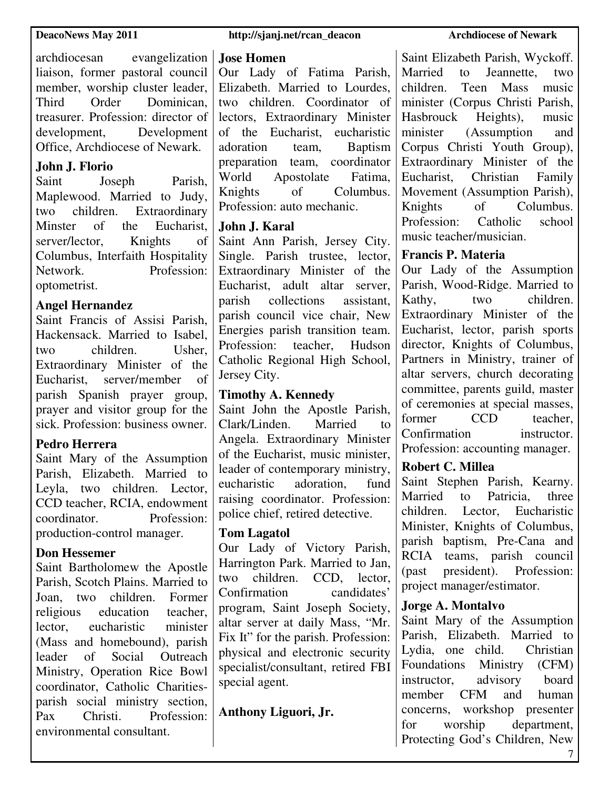archdiocesan evangelization liaison, former pastoral council member, worship cluster leader, Third Order Dominican, treasurer. Profession: director of development, Development Office, Archdiocese of Newark.

#### **John J. Florio**

Saint Joseph Parish, Maplewood. Married to Judy, two children. Extraordinary Minster of the Eucharist, server/lector. Knights of Columbus, Interfaith Hospitality Network. Profession: optometrist.

#### **Angel Hernandez**

Saint Francis of Assisi Parish, Hackensack. Married to Isabel, two children. Usher, Extraordinary Minister of the Eucharist, server/member of parish Spanish prayer group, prayer and visitor group for the sick. Profession: business owner.

#### **Pedro Herrera**

Saint Mary of the Assumption Parish, Elizabeth. Married to Leyla, two children. Lector, CCD teacher, RCIA, endowment coordinator. Profession: production-control manager.

#### **Don Hessemer**

Saint Bartholomew the Apostle Parish, Scotch Plains. Married to Joan, two children. Former religious education teacher, lector, eucharistic minister (Mass and homebound), parish leader of Social Outreach Ministry, Operation Rice Bowl coordinator, Catholic Charitiesparish social ministry section,<br>Pax Christi Profession Pax Christi Profession: environmental consultant.

#### **DeacoNews May 2011** http://sjanj.net/rcan\_deacon Archdiocese of Newark

#### **Jose Homen**

Our Lady of Fatima Parish, Elizabeth. Married to Lourdes, two children. Coordinator of lectors, Extraordinary Minister of the Eucharist, eucharistic adoration team, Baptism preparation team, coordinator World Apostolate Fatima, Knights of Columbus. Profession: auto mechanic.

#### **John J. Karal**

Saint Ann Parish, Jersey City. Single. Parish trustee, lector, Extraordinary Minister of the Eucharist, adult altar server, parish collections assistant, parish council vice chair, New Energies parish transition team. Profession: teacher, Hudson Catholic Regional High School, Jersey City.

#### **Timothy A. Kennedy**

Saint John the Apostle Parish, Clark/Linden. Married to Angela. Extraordinary Minister of the Eucharist, music minister, leader of contemporary ministry, eucharistic adoration, fund raising coordinator. Profession: police chief, retired detective.

#### **Tom Lagatol**

Our Lady of Victory Parish, Harrington Park. Married to Jan, two children. CCD, lector, Confirmation candidates' program, Saint Joseph Society, altar server at daily Mass, "Mr. Fix It" for the parish. Profession: physical and electronic security specialist/consultant, retired FBI special agent.

**Anthony Liguori, Jr.** 

Saint Elizabeth Parish, Wyckoff. Married to Jeannette, two children. Teen Mass music minister (Corpus Christi Parish, Hasbrouck Heights), music minister (Assumption and Corpus Christi Youth Group), Extraordinary Minister of the Eucharist, Christian Family Movement (Assumption Parish), Knights of Columbus.<br>Profession: Catholic school Profession: Catholic music teacher/musician.

#### **Francis P. Materia**

Our Lady of the Assumption Parish, Wood-Ridge. Married to Kathy, two children. Extraordinary Minister of the Eucharist, lector, parish sports director, Knights of Columbus, Partners in Ministry, trainer of altar servers, church decorating committee, parents guild, master of ceremonies at special masses, former CCD teacher Confirmation instructor. Profession: accounting manager.

### **Robert C. Millea**

Saint Stephen Parish, Kearny. Married to Patricia, three children. Lector, Eucharistic Minister, Knights of Columbus, parish baptism, Pre-Cana and RCIA teams, parish council (past president). Profession: project manager/estimator.

#### **Jorge A. Montalvo**

Saint Mary of the Assumption Parish, Elizabeth. Married to Lydia, one child. Christian Foundations Ministry (CFM) instructor, advisory board member CFM and human concerns, workshop presenter for worship department, Protecting God's Children, New

7